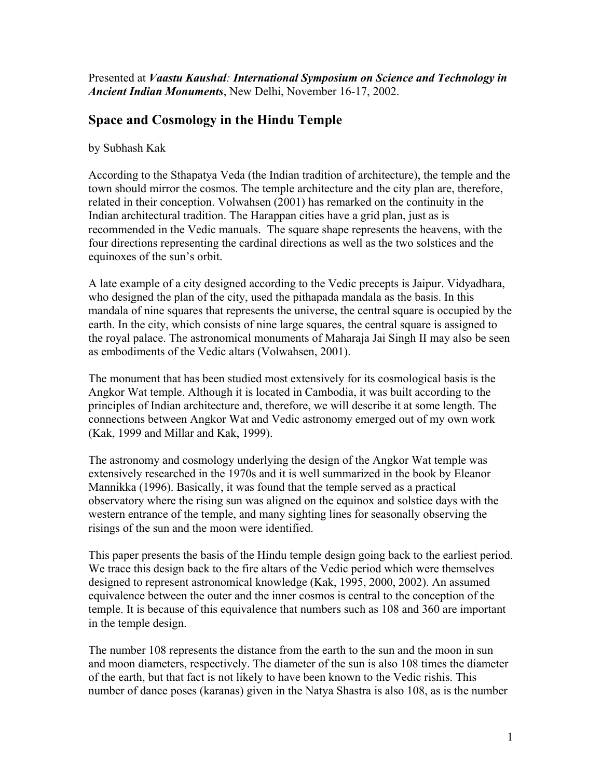Presented at *Vaastu Kaushal: International Symposium on Science and Technology in Ancient Indian Monuments*, New Delhi, November 16-17, 2002.

# **Space and Cosmology in the Hindu Temple**

by Subhash Kak

According to the Sthapatya Veda (the Indian tradition of architecture), the temple and the town should mirror the cosmos. The temple architecture and the city plan are, therefore, related in their conception. Volwahsen (2001) has remarked on the continuity in the Indian architectural tradition. The Harappan cities have a grid plan, just as is recommended in the Vedic manuals. The square shape represents the heavens, with the four directions representing the cardinal directions as well as the two solstices and the equinoxes of the sun's orbit.

A late example of a city designed according to the Vedic precepts is Jaipur. Vidyadhara, who designed the plan of the city, used the pithapada mandala as the basis. In this mandala of nine squares that represents the universe, the central square is occupied by the earth. In the city, which consists of nine large squares, the central square is assigned to the royal palace. The astronomical monuments of Maharaja Jai Singh II may also be seen as embodiments of the Vedic altars (Volwahsen, 2001).

The monument that has been studied most extensively for its cosmological basis is the Angkor Wat temple. Although it is located in Cambodia, it was built according to the principles of Indian architecture and, therefore, we will describe it at some length. The connections between Angkor Wat and Vedic astronomy emerged out of my own work (Kak, 1999 and Millar and Kak, 1999).

The astronomy and cosmology underlying the design of the Angkor Wat temple was extensively researched in the 1970s and it is well summarized in the book by Eleanor Mannikka (1996). Basically, it was found that the temple served as a practical observatory where the rising sun was aligned on the equinox and solstice days with the western entrance of the temple, and many sighting lines for seasonally observing the risings of the sun and the moon were identified.

This paper presents the basis of the Hindu temple design going back to the earliest period. We trace this design back to the fire altars of the Vedic period which were themselves designed to represent astronomical knowledge (Kak, 1995, 2000, 2002). An assumed equivalence between the outer and the inner cosmos is central to the conception of the temple. It is because of this equivalence that numbers such as 108 and 360 are important in the temple design.

The number 108 represents the distance from the earth to the sun and the moon in sun and moon diameters, respectively. The diameter of the sun is also 108 times the diameter of the earth, but that fact is not likely to have been known to the Vedic rishis. This number of dance poses (karanas) given in the Natya Shastra is also 108, as is the number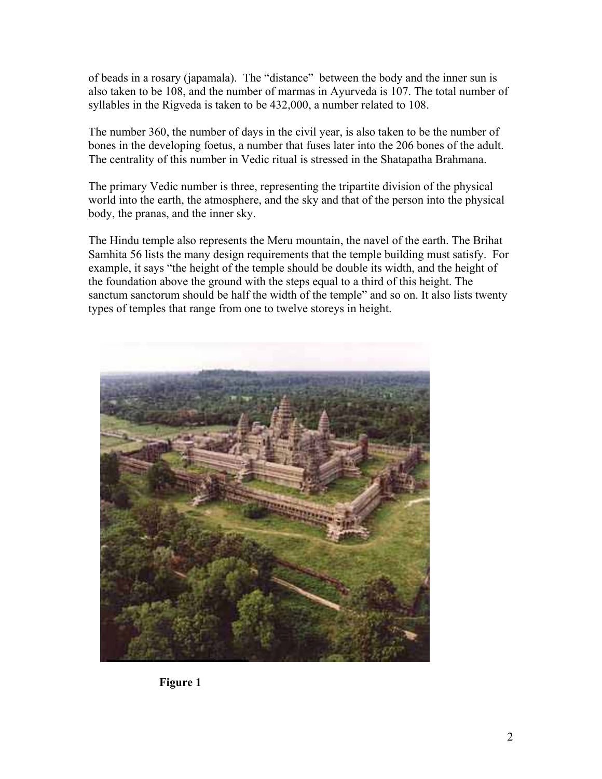of beads in a rosary (japamala). The "distance" between the body and the inner sun is also taken to be 108, and the number of marmas in Ayurveda is 107. The total number of syllables in the Rigveda is taken to be 432,000, a number related to 108.

The number 360, the number of days in the civil year, is also taken to be the number of bones in the developing foetus, a number that fuses later into the 206 bones of the adult. The centrality of this number in Vedic ritual is stressed in the Shatapatha Brahmana.

The primary Vedic number is three, representing the tripartite division of the physical world into the earth, the atmosphere, and the sky and that of the person into the physical body, the pranas, and the inner sky.

The Hindu temple also represents the Meru mountain, the navel of the earth. The Brihat Samhita 56 lists the many design requirements that the temple building must satisfy. For example, it says "the height of the temple should be double its width, and the height of the foundation above the ground with the steps equal to a third of this height. The sanctum sanctorum should be half the width of the temple" and so on. It also lists twenty types of temples that range from one to twelve storeys in height.



**Figure 1**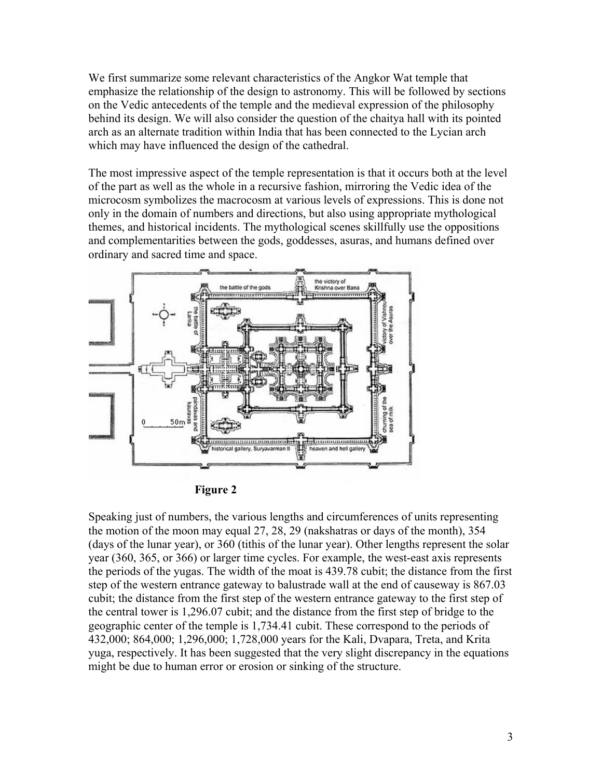We first summarize some relevant characteristics of the Angkor Wat temple that emphasize the relationship of the design to astronomy. This will be followed by sections on the Vedic antecedents of the temple and the medieval expression of the philosophy behind its design. We will also consider the question of the chaitya hall with its pointed arch as an alternate tradition within India that has been connected to the Lycian arch which may have influenced the design of the cathedral.

The most impressive aspect of the temple representation is that it occurs both at the level of the part as well as the whole in a recursive fashion, mirroring the Vedic idea of the microcosm symbolizes the macrocosm at various levels of expressions. This is done not only in the domain of numbers and directions, but also using appropriate mythological themes, and historical incidents. The mythological scenes skillfully use the oppositions and complementarities between the gods, goddesses, asuras, and humans defined over ordinary and sacred time and space.



**Figure 2**

Speaking just of numbers, the various lengths and circumferences of units representing the motion of the moon may equal 27, 28, 29 (nakshatras or days of the month), 354 (days of the lunar year), or 360 (tithis of the lunar year). Other lengths represent the solar year (360, 365, or 366) or larger time cycles. For example, the west-east axis represents the periods of the yugas. The width of the moat is 439.78 cubit; the distance from the first step of the western entrance gateway to balustrade wall at the end of causeway is 867.03 cubit; the distance from the first step of the western entrance gateway to the first step of the central tower is 1,296.07 cubit; and the distance from the first step of bridge to the geographic center of the temple is 1,734.41 cubit. These correspond to the periods of 432,000; 864,000; 1,296,000; 1,728,000 years for the Kali, Dvapara, Treta, and Krita yuga, respectively. It has been suggested that the very slight discrepancy in the equations might be due to human error or erosion or sinking of the structure.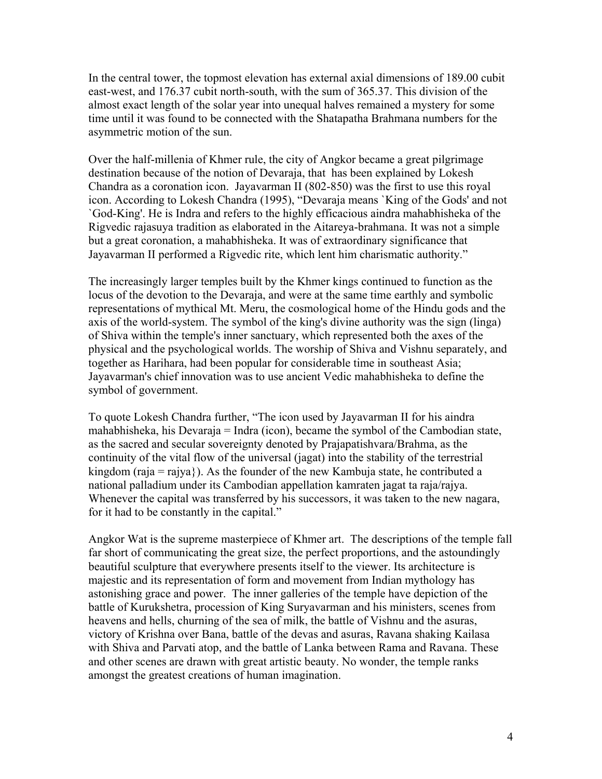In the central tower, the topmost elevation has external axial dimensions of 189.00 cubit east-west, and 176.37 cubit north-south, with the sum of 365.37. This division of the almost exact length of the solar year into unequal halves remained a mystery for some time until it was found to be connected with the Shatapatha Brahmana numbers for the asymmetric motion of the sun.

Over the half-millenia of Khmer rule, the city of Angkor became a great pilgrimage destination because of the notion of Devaraja, that has been explained by Lokesh Chandra as a coronation icon. Jayavarman II (802-850) was the first to use this royal icon. According to Lokesh Chandra (1995), "Devaraja means `King of the Gods' and not `God-King'. He is Indra and refers to the highly efficacious aindra mahabhisheka of the Rigvedic rajasuya tradition as elaborated in the Aitareya-brahmana. It was not a simple but a great coronation, a mahabhisheka. It was of extraordinary significance that Jayavarman II performed a Rigvedic rite, which lent him charismatic authority."

The increasingly larger temples built by the Khmer kings continued to function as the locus of the devotion to the Devaraja, and were at the same time earthly and symbolic representations of mythical Mt. Meru, the cosmological home of the Hindu gods and the axis of the world-system. The symbol of the king's divine authority was the sign (linga) of Shiva within the temple's inner sanctuary, which represented both the axes of the physical and the psychological worlds. The worship of Shiva and Vishnu separately, and together as Harihara, had been popular for considerable time in southeast Asia; Jayavarman's chief innovation was to use ancient Vedic mahabhisheka to define the symbol of government.

To quote Lokesh Chandra further, "The icon used by Jayavarman II for his aindra mahabhisheka, his Devaraja = Indra (icon), became the symbol of the Cambodian state, as the sacred and secular sovereignty denoted by Prajapatishvara/Brahma, as the continuity of the vital flow of the universal (jagat) into the stability of the terrestrial kingdom (raja = rajya}). As the founder of the new Kambuja state, he contributed a national palladium under its Cambodian appellation kamraten jagat ta raja/rajya. Whenever the capital was transferred by his successors, it was taken to the new nagara, for it had to be constantly in the capital."

Angkor Wat is the supreme masterpiece of Khmer art. The descriptions of the temple fall far short of communicating the great size, the perfect proportions, and the astoundingly beautiful sculpture that everywhere presents itself to the viewer. Its architecture is majestic and its representation of form and movement from Indian mythology has astonishing grace and power. The inner galleries of the temple have depiction of the battle of Kurukshetra, procession of King Suryavarman and his ministers, scenes from heavens and hells, churning of the sea of milk, the battle of Vishnu and the asuras, victory of Krishna over Bana, battle of the devas and asuras, Ravana shaking Kailasa with Shiva and Parvati atop, and the battle of Lanka between Rama and Ravana. These and other scenes are drawn with great artistic beauty. No wonder, the temple ranks amongst the greatest creations of human imagination.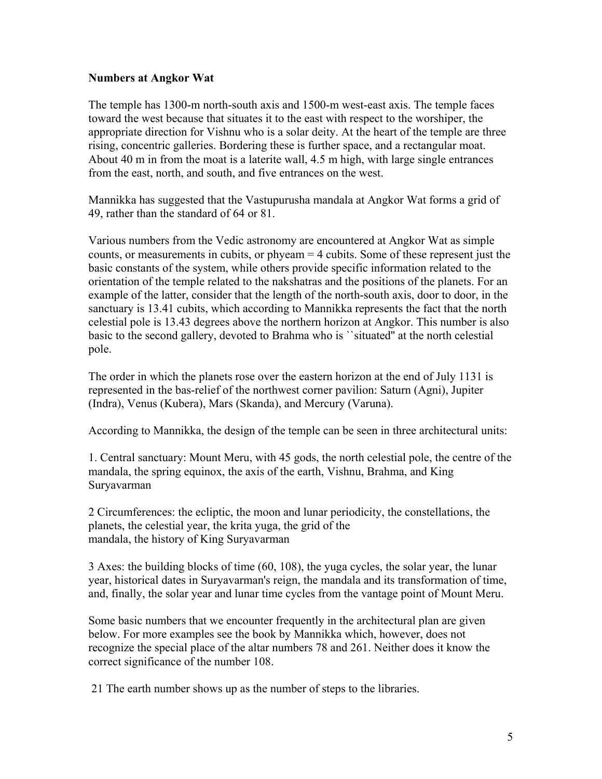### **Numbers at Angkor Wat**

The temple has 1300-m north-south axis and 1500-m west-east axis. The temple faces toward the west because that situates it to the east with respect to the worshiper, the appropriate direction for Vishnu who is a solar deity. At the heart of the temple are three rising, concentric galleries. Bordering these is further space, and a rectangular moat. About 40 m in from the moat is a laterite wall, 4.5 m high, with large single entrances from the east, north, and south, and five entrances on the west.

Mannikka has suggested that the Vastupurusha mandala at Angkor Wat forms a grid of 49, rather than the standard of 64 or 81.

Various numbers from the Vedic astronomy are encountered at Angkor Wat as simple counts, or measurements in cubits, or phyeam = 4 cubits. Some of these represent just the basic constants of the system, while others provide specific information related to the orientation of the temple related to the nakshatras and the positions of the planets. For an example of the latter, consider that the length of the north-south axis, door to door, in the sanctuary is 13.41 cubits, which according to Mannikka represents the fact that the north celestial pole is 13.43 degrees above the northern horizon at Angkor. This number is also basic to the second gallery, devoted to Brahma who is ``situated'' at the north celestial pole.

The order in which the planets rose over the eastern horizon at the end of July 1131 is represented in the bas-relief of the northwest corner pavilion: Saturn (Agni), Jupiter (Indra), Venus (Kubera), Mars (Skanda), and Mercury (Varuna).

According to Mannikka, the design of the temple can be seen in three architectural units:

1. Central sanctuary: Mount Meru, with 45 gods, the north celestial pole, the centre of the mandala, the spring equinox, the axis of the earth, Vishnu, Brahma, and King Suryavarman

2 Circumferences: the ecliptic, the moon and lunar periodicity, the constellations, the planets, the celestial year, the krita yuga, the grid of the mandala, the history of King Suryavarman

3 Axes: the building blocks of time (60, 108), the yuga cycles, the solar year, the lunar year, historical dates in Suryavarman's reign, the mandala and its transformation of time, and, finally, the solar year and lunar time cycles from the vantage point of Mount Meru.

Some basic numbers that we encounter frequently in the architectural plan are given below. For more examples see the book by Mannikka which, however, does not recognize the special place of the altar numbers 78 and 261. Neither does it know the correct significance of the number 108.

21 The earth number shows up as the number of steps to the libraries.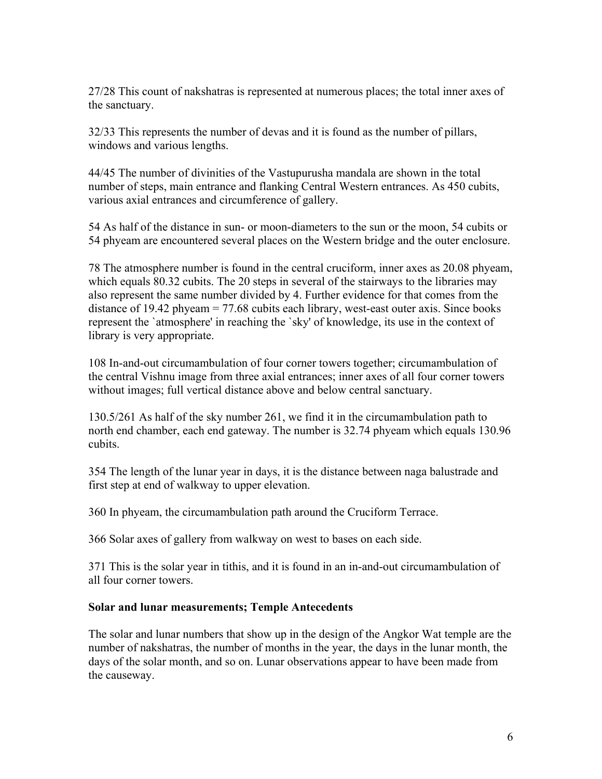27/28 This count of nakshatras is represented at numerous places; the total inner axes of the sanctuary.

32/33 This represents the number of devas and it is found as the number of pillars, windows and various lengths.

44/45 The number of divinities of the Vastupurusha mandala are shown in the total number of steps, main entrance and flanking Central Western entrances. As 450 cubits, various axial entrances and circumference of gallery.

54 As half of the distance in sun- or moon-diameters to the sun or the moon, 54 cubits or 54 phyeam are encountered several places on the Western bridge and the outer enclosure.

78 The atmosphere number is found in the central cruciform, inner axes as 20.08 phyeam, which equals 80.32 cubits. The 20 steps in several of the stairways to the libraries may also represent the same number divided by 4. Further evidence for that comes from the distance of 19.42 phyeam  $= 77.68$  cubits each library, west-east outer axis. Since books represent the `atmosphere' in reaching the `sky' of knowledge, its use in the context of library is very appropriate.

108 In-and-out circumambulation of four corner towers together; circumambulation of the central Vishnu image from three axial entrances; inner axes of all four corner towers without images; full vertical distance above and below central sanctuary.

130.5/261 As half of the sky number 261, we find it in the circumambulation path to north end chamber, each end gateway. The number is 32.74 phyeam which equals 130.96 cubits.

354 The length of the lunar year in days, it is the distance between naga balustrade and first step at end of walkway to upper elevation.

360 In phyeam, the circumambulation path around the Cruciform Terrace.

366 Solar axes of gallery from walkway on west to bases on each side.

371 This is the solar year in tithis, and it is found in an in-and-out circumambulation of all four corner towers.

## **Solar and lunar measurements; Temple Antecedents**

The solar and lunar numbers that show up in the design of the Angkor Wat temple are the number of nakshatras, the number of months in the year, the days in the lunar month, the days of the solar month, and so on. Lunar observations appear to have been made from the causeway.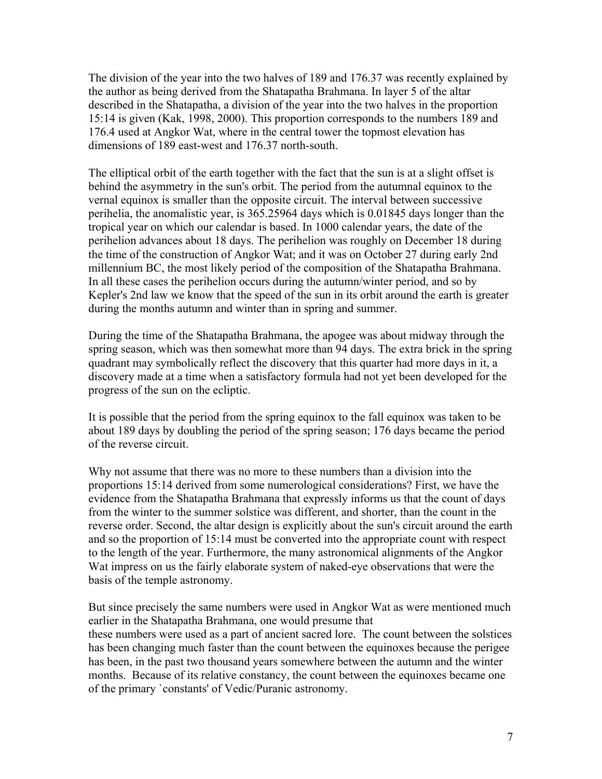The division of the year into the two halves of 189 and 176.37 was recently explained by the author as being derived from the Shatapatha Brahmana. In layer 5 of the altar described in the Shatapatha, a division of the year into the two halves in the proportion 15:14 is given (Kak, 1998, 2000). This proportion corresponds to the numbers 189 and 176.4 used at Angkor Wat, where in the central tower the topmost elevation has dimensions of 189 east-west and 176.37 north-south.

The elliptical orbit of the earth together with the fact that the sun is at a slight offset is behind the asymmetry in the sun's orbit. The period from the autumnal equinox to the vernal equinox is smaller than the opposite circuit. The interval between successive perihelia, the anomalistic year, is 365.25964 days which is 0.01845 days longer than the tropical year on which our calendar is based. In 1000 calendar years, the date of the perihelion advances about 18 days. The perihelion was roughly on December 18 during the time of the construction of Angkor Wat; and it was on October 27 during early 2nd millennium BC, the most likely period of the composition of the Shatapatha Brahmana. In all these cases the perihelion occurs during the autumn/winter period, and so by Kepler's 2nd law we know that the speed of the sun in its orbit around the earth is greater during the months autumn and winter than in spring and summer.

During the time of the Shatapatha Brahmana, the apogee was about midway through the spring season, which was then somewhat more than 94 days. The extra brick in the spring quadrant may symbolically reflect the discovery that this quarter had more days in it, a discovery made at a time when a satisfactory formula had not yet been developed for the progress of the sun on the ecliptic.

It is possible that the period from the spring equinox to the fall equinox was taken to be about 189 days by doubling the period of the spring season; 176 days became the period of the reverse circuit.

Why not assume that there was no more to these numbers than a division into the proportions 15:14 derived from some numerological considerations? First, we have the evidence from the Shatapatha Brahmana that expressly informs us that the count of days from the winter to the summer solstice was different, and shorter, than the count in the reverse order. Second, the altar design is explicitly about the sun's circuit around the earth and so the proportion of 15:14 must be converted into the appropriate count with respect to the length of the year. Furthermore, the many astronomical alignments of the Angkor Wat impress on us the fairly elaborate system of naked-eye observations that were the basis of the temple astronomy.

But since precisely the same numbers were used in Angkor Wat as were mentioned much earlier in the Shatapatha Brahmana, one would presume that these numbers were used as a part of ancient sacred lore. The count between the solstices has been changing much faster than the count between the equinoxes because the perigee has been, in the past two thousand years somewhere between the autumn and the winter months. Because of its relative constancy, the count between the equinoxes became one of the primary `constants' of Vedic/Puranic astronomy.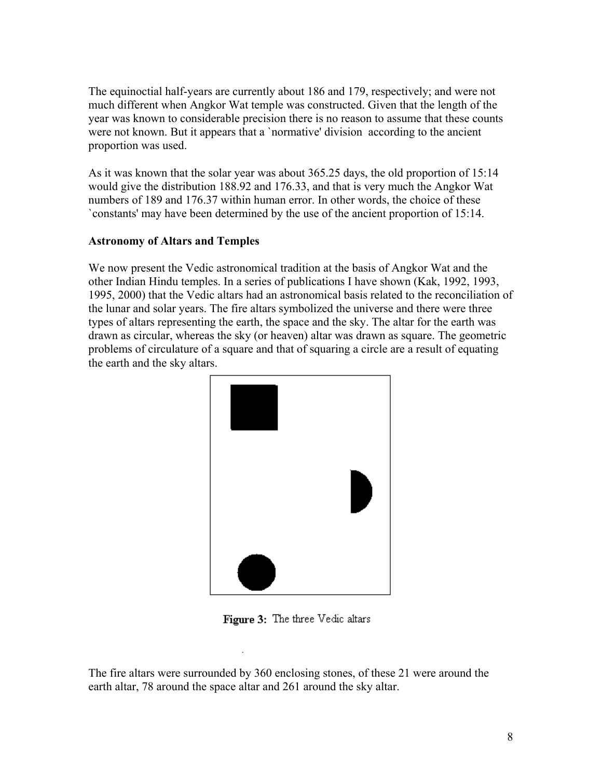The equinoctial half-years are currently about 186 and 179, respectively; and were not much different when Angkor Wat temple was constructed. Given that the length of the year was known to considerable precision there is no reason to assume that these counts were not known. But it appears that a `normative' division according to the ancient proportion was used.

As it was known that the solar year was about 365.25 days, the old proportion of 15:14 would give the distribution 188.92 and 176.33, and that is very much the Angkor Wat numbers of 189 and 176.37 within human error. In other words, the choice of these `constants' may have been determined by the use of the ancient proportion of 15:14.

### **Astronomy of Altars and Temples**

We now present the Vedic astronomical tradition at the basis of Angkor Wat and the other Indian Hindu temples. In a series of publications I have shown (Kak, 1992, 1993, 1995, 2000) that the Vedic altars had an astronomical basis related to the reconciliation of the lunar and solar years. The fire altars symbolized the universe and there were three types of altars representing the earth, the space and the sky. The altar for the earth was drawn as circular, whereas the sky (or heaven) altar was drawn as square. The geometric problems of circulature of a square and that of squaring a circle are a result of equating the earth and the sky altars.



Figure 3: The three Vedic altars

The fire altars were surrounded by 360 enclosing stones, of these 21 were around the earth altar, 78 around the space altar and 261 around the sky altar.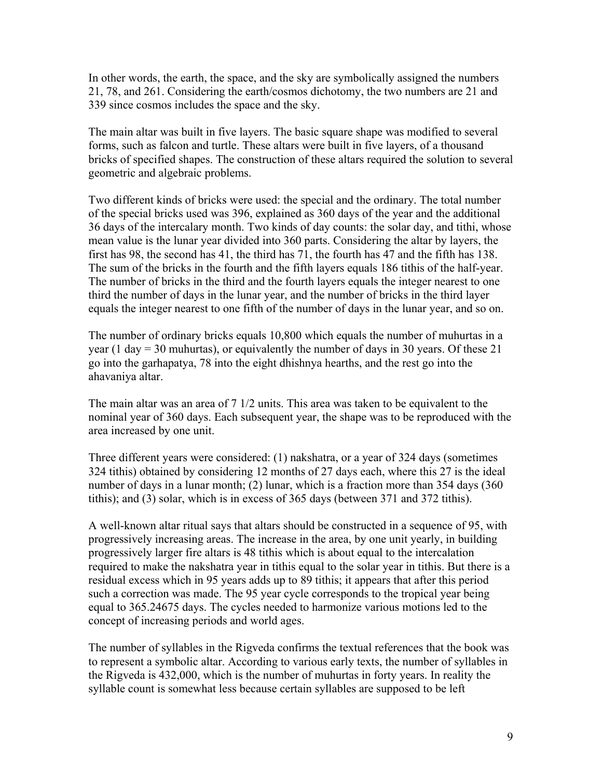In other words, the earth, the space, and the sky are symbolically assigned the numbers 21, 78, and 261. Considering the earth/cosmos dichotomy, the two numbers are 21 and 339 since cosmos includes the space and the sky.

The main altar was built in five layers. The basic square shape was modified to several forms, such as falcon and turtle. These altars were built in five layers, of a thousand bricks of specified shapes. The construction of these altars required the solution to several geometric and algebraic problems.

Two different kinds of bricks were used: the special and the ordinary. The total number of the special bricks used was 396, explained as 360 days of the year and the additional 36 days of the intercalary month. Two kinds of day counts: the solar day, and tithi, whose mean value is the lunar year divided into 360 parts. Considering the altar by layers, the first has 98, the second has 41, the third has 71, the fourth has 47 and the fifth has 138. The sum of the bricks in the fourth and the fifth layers equals 186 tithis of the half-year. The number of bricks in the third and the fourth layers equals the integer nearest to one third the number of days in the lunar year, and the number of bricks in the third layer equals the integer nearest to one fifth of the number of days in the lunar year, and so on.

The number of ordinary bricks equals 10,800 which equals the number of muhurtas in a year (1 day = 30 muhurtas), or equivalently the number of days in 30 years. Of these 21 go into the garhapatya, 78 into the eight dhishnya hearths, and the rest go into the ahavaniya altar.

The main altar was an area of 7 1/2 units. This area was taken to be equivalent to the nominal year of 360 days. Each subsequent year, the shape was to be reproduced with the area increased by one unit.

Three different years were considered: (1) nakshatra, or a year of 324 days (sometimes 324 tithis) obtained by considering 12 months of 27 days each, where this 27 is the ideal number of days in a lunar month; (2) lunar, which is a fraction more than 354 days (360 tithis); and (3) solar, which is in excess of 365 days (between 371 and 372 tithis).

A well-known altar ritual says that altars should be constructed in a sequence of 95, with progressively increasing areas. The increase in the area, by one unit yearly, in building progressively larger fire altars is 48 tithis which is about equal to the intercalation required to make the nakshatra year in tithis equal to the solar year in tithis. But there is a residual excess which in 95 years adds up to 89 tithis; it appears that after this period such a correction was made. The 95 year cycle corresponds to the tropical year being equal to 365.24675 days. The cycles needed to harmonize various motions led to the concept of increasing periods and world ages.

The number of syllables in the Rigveda confirms the textual references that the book was to represent a symbolic altar. According to various early texts, the number of syllables in the Rigveda is 432,000, which is the number of muhurtas in forty years. In reality the syllable count is somewhat less because certain syllables are supposed to be left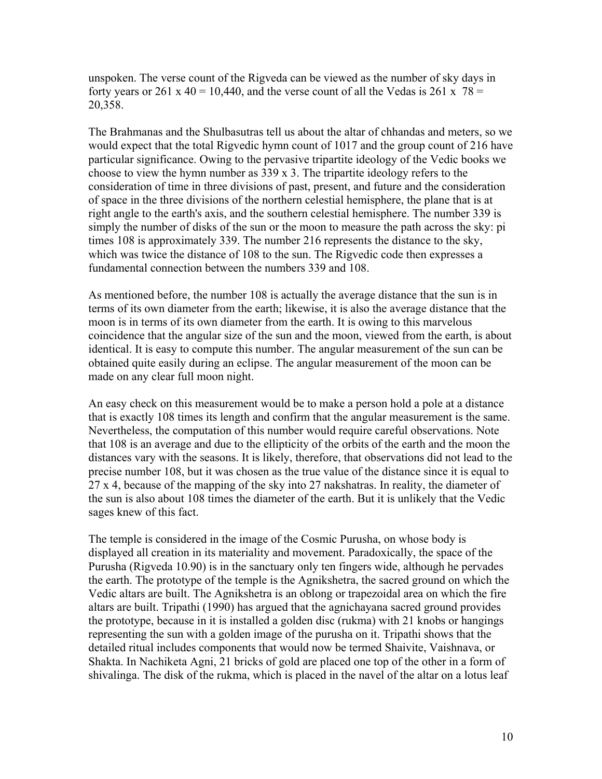unspoken. The verse count of the Rigveda can be viewed as the number of sky days in forty years or 261 x 40 = 10,440, and the verse count of all the Vedas is 261 x  $78 =$ 20,358.

The Brahmanas and the Shulbasutras tell us about the altar of chhandas and meters, so we would expect that the total Rigvedic hymn count of 1017 and the group count of 216 have particular significance. Owing to the pervasive tripartite ideology of the Vedic books we choose to view the hymn number as 339 x 3. The tripartite ideology refers to the consideration of time in three divisions of past, present, and future and the consideration of space in the three divisions of the northern celestial hemisphere, the plane that is at right angle to the earth's axis, and the southern celestial hemisphere. The number 339 is simply the number of disks of the sun or the moon to measure the path across the sky: pi times 108 is approximately 339. The number 216 represents the distance to the sky, which was twice the distance of 108 to the sun. The Rigvedic code then expresses a fundamental connection between the numbers 339 and 108.

As mentioned before, the number 108 is actually the average distance that the sun is in terms of its own diameter from the earth; likewise, it is also the average distance that the moon is in terms of its own diameter from the earth. It is owing to this marvelous coincidence that the angular size of the sun and the moon, viewed from the earth, is about identical. It is easy to compute this number. The angular measurement of the sun can be obtained quite easily during an eclipse. The angular measurement of the moon can be made on any clear full moon night.

An easy check on this measurement would be to make a person hold a pole at a distance that is exactly 108 times its length and confirm that the angular measurement is the same. Nevertheless, the computation of this number would require careful observations. Note that 108 is an average and due to the ellipticity of the orbits of the earth and the moon the distances vary with the seasons. It is likely, therefore, that observations did not lead to the precise number 108, but it was chosen as the true value of the distance since it is equal to 27 x 4, because of the mapping of the sky into 27 nakshatras. In reality, the diameter of the sun is also about 108 times the diameter of the earth. But it is unlikely that the Vedic sages knew of this fact.

The temple is considered in the image of the Cosmic Purusha, on whose body is displayed all creation in its materiality and movement. Paradoxically, the space of the Purusha (Rigveda 10.90) is in the sanctuary only ten fingers wide, although he pervades the earth. The prototype of the temple is the Agnikshetra, the sacred ground on which the Vedic altars are built. The Agnikshetra is an oblong or trapezoidal area on which the fire altars are built. Tripathi (1990) has argued that the agnichayana sacred ground provides the prototype, because in it is installed a golden disc (rukma) with 21 knobs or hangings representing the sun with a golden image of the purusha on it. Tripathi shows that the detailed ritual includes components that would now be termed Shaivite, Vaishnava, or Shakta. In Nachiketa Agni, 21 bricks of gold are placed one top of the other in a form of shivalinga. The disk of the rukma, which is placed in the navel of the altar on a lotus leaf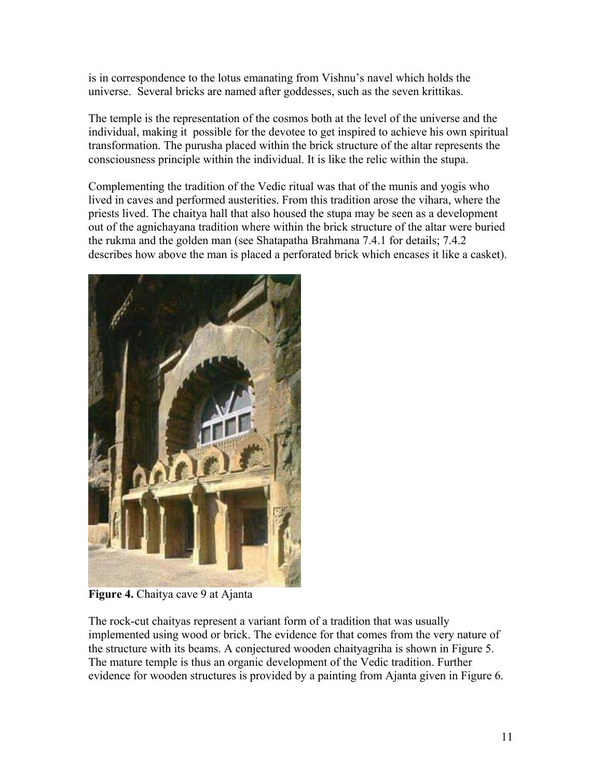is in correspondence to the lotus emanating from Vishnu's navel which holds the universe. Several bricks are named after goddesses, such as the seven krittikas.

The temple is the representation of the cosmos both at the level of the universe and the individual, making it possible for the devotee to get inspired to achieve his own spiritual transformation. The purusha placed within the brick structure of the altar represents the consciousness principle within the individual. It is like the relic within the stupa.

Complementing the tradition of the Vedic ritual was that of the munis and yogis who lived in caves and performed austerities. From this tradition arose the vihara, where the priests lived. The chaitya hall that also housed the stupa may be seen as a development out of the agnichayana tradition where within the brick structure of the altar were buried the rukma and the golden man (see Shatapatha Brahmana 7.4.1 for details; 7.4.2 describes how above the man is placed a perforated brick which encases it like a casket).



**Figure 4.** Chaitya cave 9 at Ajanta

The rock-cut chaityas represent a variant form of a tradition that was usually implemented using wood or brick. The evidence for that comes from the very nature of the structure with its beams. A conjectured wooden chaityagriha is shown in Figure 5. The mature temple is thus an organic development of the Vedic tradition. Further evidence for wooden structures is provided by a painting from Ajanta given in Figure 6.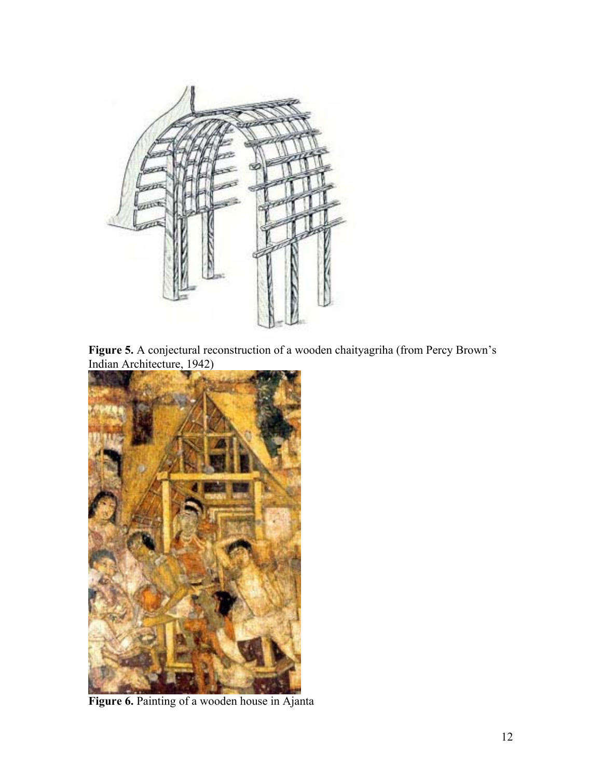

**Figure 5.** A conjectural reconstruction of a wooden chaityagriha (from Percy Brown's Indian Architecture, 1942)



**Figure 6.** Painting of a wooden house in Ajanta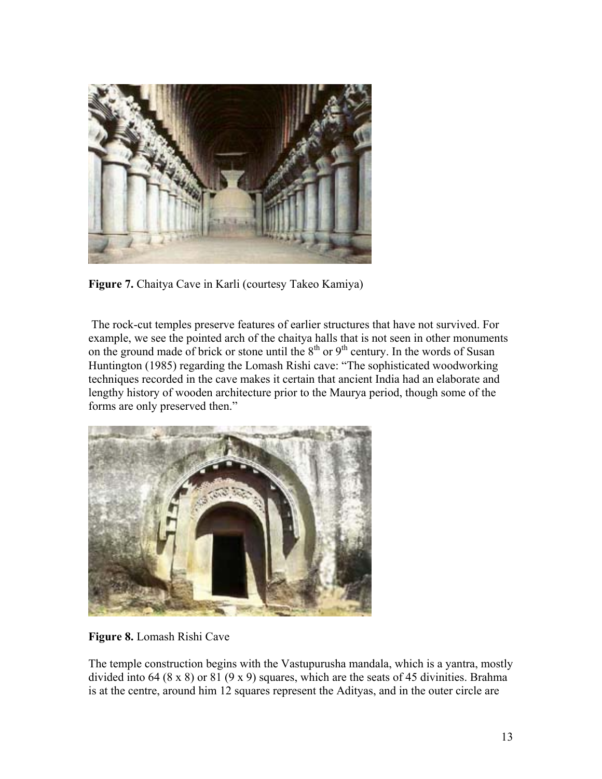

**Figure 7.** Chaitya Cave in Karli (courtesy Takeo Kamiya)

 The rock-cut temples preserve features of earlier structures that have not survived. For example, we see the pointed arch of the chaitya halls that is not seen in other monuments on the ground made of brick or stone until the  $8<sup>th</sup>$  or  $9<sup>th</sup>$  century. In the words of Susan Huntington (1985) regarding the Lomash Rishi cave: "The sophisticated woodworking techniques recorded in the cave makes it certain that ancient India had an elaborate and lengthy history of wooden architecture prior to the Maurya period, though some of the forms are only preserved then."



**Figure 8.** Lomash Rishi Cave

The temple construction begins with the Vastupurusha mandala, which is a yantra, mostly divided into 64 (8 x 8) or 81 (9 x 9) squares, which are the seats of 45 divinities. Brahma is at the centre, around him 12 squares represent the Adityas, and in the outer circle are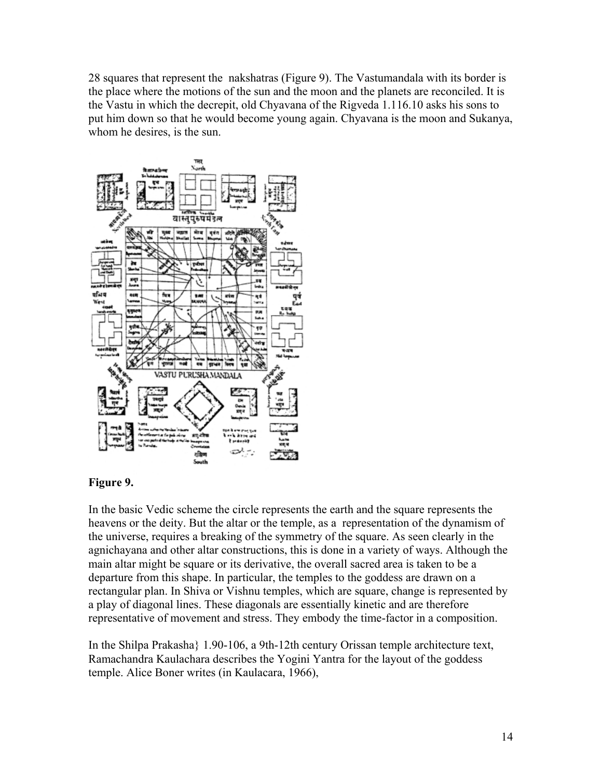28 squares that represent the nakshatras (Figure 9). The Vastumandala with its border is the place where the motions of the sun and the moon and the planets are reconciled. It is the Vastu in which the decrepit, old Chyavana of the Rigveda 1.116.10 asks his sons to put him down so that he would become young again. Chyavana is the moon and Sukanya, whom he desires, is the sun.



## **Figure 9.**

In the basic Vedic scheme the circle represents the earth and the square represents the heavens or the deity. But the altar or the temple, as a representation of the dynamism of the universe, requires a breaking of the symmetry of the square. As seen clearly in the agnichayana and other altar constructions, this is done in a variety of ways. Although the main altar might be square or its derivative, the overall sacred area is taken to be a departure from this shape. In particular, the temples to the goddess are drawn on a rectangular plan. In Shiva or Vishnu temples, which are square, change is represented by a play of diagonal lines. These diagonals are essentially kinetic and are therefore representative of movement and stress. They embody the time-factor in a composition.

In the Shilpa Prakasha} 1.90-106, a 9th-12th century Orissan temple architecture text, Ramachandra Kaulachara describes the Yogini Yantra for the layout of the goddess temple. Alice Boner writes (in Kaulacara, 1966),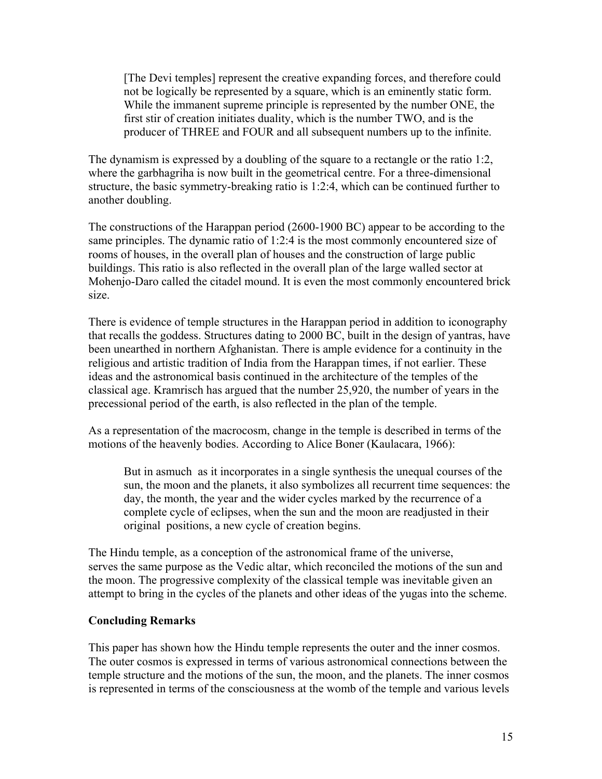[The Devi temples] represent the creative expanding forces, and therefore could not be logically be represented by a square, which is an eminently static form. While the immanent supreme principle is represented by the number ONE, the first stir of creation initiates duality, which is the number TWO, and is the producer of THREE and FOUR and all subsequent numbers up to the infinite.

The dynamism is expressed by a doubling of the square to a rectangle or the ratio 1:2, where the garbhagriha is now built in the geometrical centre. For a three-dimensional structure, the basic symmetry-breaking ratio is 1:2:4, which can be continued further to another doubling.

The constructions of the Harappan period (2600-1900 BC) appear to be according to the same principles. The dynamic ratio of 1:2:4 is the most commonly encountered size of rooms of houses, in the overall plan of houses and the construction of large public buildings. This ratio is also reflected in the overall plan of the large walled sector at Mohenjo-Daro called the citadel mound. It is even the most commonly encountered brick size.

There is evidence of temple structures in the Harappan period in addition to iconography that recalls the goddess. Structures dating to 2000 BC, built in the design of yantras, have been unearthed in northern Afghanistan. There is ample evidence for a continuity in the religious and artistic tradition of India from the Harappan times, if not earlier. These ideas and the astronomical basis continued in the architecture of the temples of the classical age. Kramrisch has argued that the number 25,920, the number of years in the precessional period of the earth, is also reflected in the plan of the temple.

As a representation of the macrocosm, change in the temple is described in terms of the motions of the heavenly bodies. According to Alice Boner (Kaulacara, 1966):

But in asmuch as it incorporates in a single synthesis the unequal courses of the sun, the moon and the planets, it also symbolizes all recurrent time sequences: the day, the month, the year and the wider cycles marked by the recurrence of a complete cycle of eclipses, when the sun and the moon are readjusted in their original positions, a new cycle of creation begins.

The Hindu temple, as a conception of the astronomical frame of the universe, serves the same purpose as the Vedic altar, which reconciled the motions of the sun and the moon. The progressive complexity of the classical temple was inevitable given an attempt to bring in the cycles of the planets and other ideas of the yugas into the scheme.

#### **Concluding Remarks**

This paper has shown how the Hindu temple represents the outer and the inner cosmos. The outer cosmos is expressed in terms of various astronomical connections between the temple structure and the motions of the sun, the moon, and the planets. The inner cosmos is represented in terms of the consciousness at the womb of the temple and various levels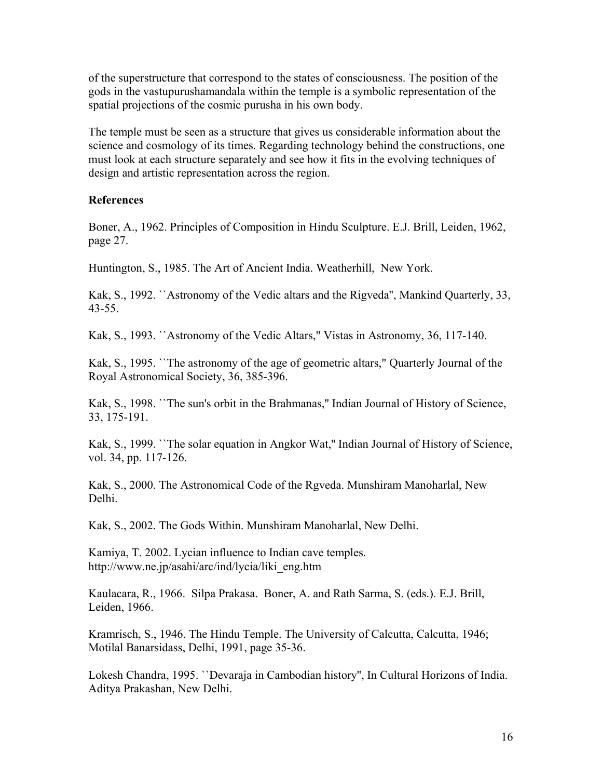of the superstructure that correspond to the states of consciousness. The position of the gods in the vastupurushamandala within the temple is a symbolic representation of the spatial projections of the cosmic purusha in his own body.

The temple must be seen as a structure that gives us considerable information about the science and cosmology of its times. Regarding technology behind the constructions, one must look at each structure separately and see how it fits in the evolving techniques of design and artistic representation across the region.

### **References**

Boner, A., 1962. Principles of Composition in Hindu Sculpture. E.J. Brill, Leiden, 1962, page 27.

Huntington, S., 1985. The Art of Ancient India. Weatherhill, New York.

Kak, S., 1992. ``Astronomy of the Vedic altars and the Rigveda'', Mankind Quarterly, 33, 43-55.

Kak, S., 1993. ``Astronomy of the Vedic Altars," Vistas in Astronomy, 36, 117-140.

Kak, S., 1995. ``The astronomy of the age of geometric altars," Quarterly Journal of the Royal Astronomical Society, 36, 385-396.

Kak, S., 1998. ``The sun's orbit in the Brahmanas,'' Indian Journal of History of Science, 33, 175-191.

Kak, S., 1999. ``The solar equation in Angkor Wat,'' Indian Journal of History of Science, vol. 34, pp. 117-126.

Kak, S., 2000. The Astronomical Code of the Rgveda. Munshiram Manoharlal, New Delhi.

Kak, S., 2002. The Gods Within. Munshiram Manoharlal, New Delhi.

Kamiya, T. 2002. Lycian influence to Indian cave temples. http://www.ne.jp/asahi/arc/ind/lycia/liki\_eng.htm

Kaulacara, R., 1966. Silpa Prakasa. Boner, A. and Rath Sarma, S. (eds.). E.J. Brill, Leiden, 1966.

Kramrisch, S., 1946. The Hindu Temple. The University of Calcutta, Calcutta, 1946; Motilal Banarsidass, Delhi, 1991, page 35-36.

Lokesh Chandra, 1995. ``Devaraja in Cambodian history'', In Cultural Horizons of India. Aditya Prakashan, New Delhi.